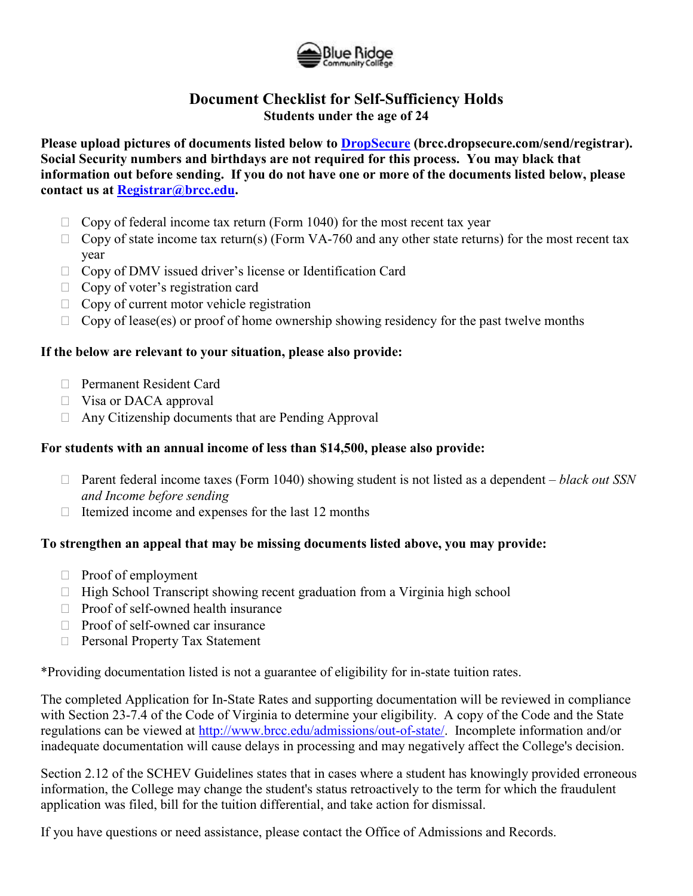

## **Document Checklist for Self-Sufficiency Holds Students under the age of 24**

**Please upload pictures of documents listed below to [DropSecure](https://brcc.dropsecure.com/send/registrar) (brcc.dropsecure.com/send/registrar). Social Security numbers and birthdays are not required for this process. You may black that information out before sending. If you do not have one or more of the documents listed below, please contact us at [Registrar@brcc.edu.](mailto:Registrar@brcc.edu)** 

- $\Box$  Copy of federal income tax return (Form 1040) for the most recent tax year
- $\Box$  Copy of state income tax return(s) (Form VA-760 and any other state returns) for the most recent tax year
- □ Copy of DMV issued driver's license or Identification Card
- $\Box$  Copy of voter's registration card
- $\Box$  Copy of current motor vehicle registration
- $\Box$  Copy of lease(es) or proof of home ownership showing residency for the past twelve months

## **If the below are relevant to your situation, please also provide:**

- Permanent Resident Card
- □ Visa or DACA approval
- $\Box$  Any Citizenship documents that are Pending Approval

## **For students with an annual income of less than \$14,500, please also provide:**

- Parent federal income taxes (Form 1040) showing student is not listed as a dependent *black out SSN and Income before sending*
- $\Box$  Itemized income and expenses for the last 12 months

## **To strengthen an appeal that may be missing documents listed above, you may provide:**

- $\Box$  Proof of employment
- $\Box$  High School Transcript showing recent graduation from a Virginia high school
- $\Box$  Proof of self-owned health insurance
- $\Box$  Proof of self-owned car insurance
- □ Personal Property Tax Statement

\*Providing documentation listed is not a guarantee of eligibility for in-state tuition rates.

The completed Application for In-State Rates and supporting documentation will be reviewed in compliance with Section 23-7.4 of the Code of Virginia to determine your eligibility. A copy of the Code and the State regulations can be viewed at [http://www.brcc.edu/admissions/out-of-state/.](http://www.brcc.edu/admissions/out-of-state/) Incomplete information and/or inadequate documentation will cause delays in processing and may negatively affect the College's decision.

Section 2.12 of the SCHEV Guidelines states that in cases where a student has knowingly provided erroneous information, the College may change the student's status retroactively to the term for which the fraudulent application was filed, bill for the tuition differential, and take action for dismissal.

If you have questions or need assistance, please contact the Office of Admissions and Records.